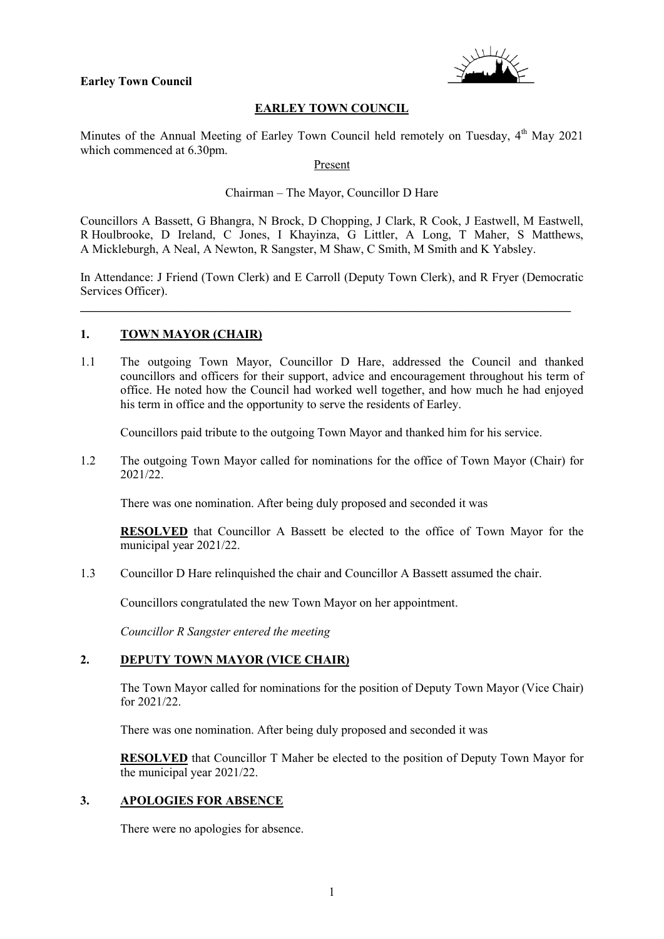#### **Earley Town Council**



# **EARLEY TOWN COUNCIL**

Minutes of the Annual Meeting of Earley Town Council held remotely on Tuesday, 4<sup>th</sup> May 2021 which commenced at 6.30pm.

Present

Chairman – The Mayor, Councillor D Hare

Councillors A Bassett, G Bhangra, N Brock, D Chopping, J Clark, R Cook, J Eastwell, M Eastwell, R Houlbrooke, D Ireland, C Jones, I Khayinza, G Littler, A Long, T Maher, S Matthews, A Mickleburgh, A Neal, A Newton, R Sangster, M Shaw, C Smith, M Smith and K Yabsley.

In Attendance: J Friend (Town Clerk) and E Carroll (Deputy Town Clerk), and R Fryer (Democratic Services Officer).

\_\_\_\_\_\_\_\_\_\_\_\_\_\_\_\_\_\_\_\_\_\_\_\_\_\_\_\_\_\_\_\_\_\_\_\_\_\_\_\_\_\_\_\_\_\_\_\_\_\_\_\_\_\_\_\_\_\_\_\_\_\_\_\_\_\_\_\_\_\_\_\_\_\_\_\_\_\_\_\_

#### **1. TOWN MAYOR (CHAIR)**

1.1 The outgoing Town Mayor, Councillor D Hare, addressed the Council and thanked councillors and officers for their support, advice and encouragement throughout his term of office. He noted how the Council had worked well together, and how much he had enjoyed his term in office and the opportunity to serve the residents of Earley.

Councillors paid tribute to the outgoing Town Mayor and thanked him for his service.

1.2 The outgoing Town Mayor called for nominations for the office of Town Mayor (Chair) for 2021/22.

There was one nomination. After being duly proposed and seconded it was

**RESOLVED** that Councillor A Bassett be elected to the office of Town Mayor for the municipal year 2021/22.

1.3 Councillor D Hare relinquished the chair and Councillor A Bassett assumed the chair.

Councillors congratulated the new Town Mayor on her appointment.

*Councillor R Sangster entered the meeting*

#### **2. DEPUTY TOWN MAYOR (VICE CHAIR)**

The Town Mayor called for nominations for the position of Deputy Town Mayor (Vice Chair) for 2021/22.

There was one nomination. After being duly proposed and seconded it was

**RESOLVED** that Councillor T Maher be elected to the position of Deputy Town Mayor for the municipal year 2021/22.

# **3. APOLOGIES FOR ABSENCE**

There were no apologies for absence.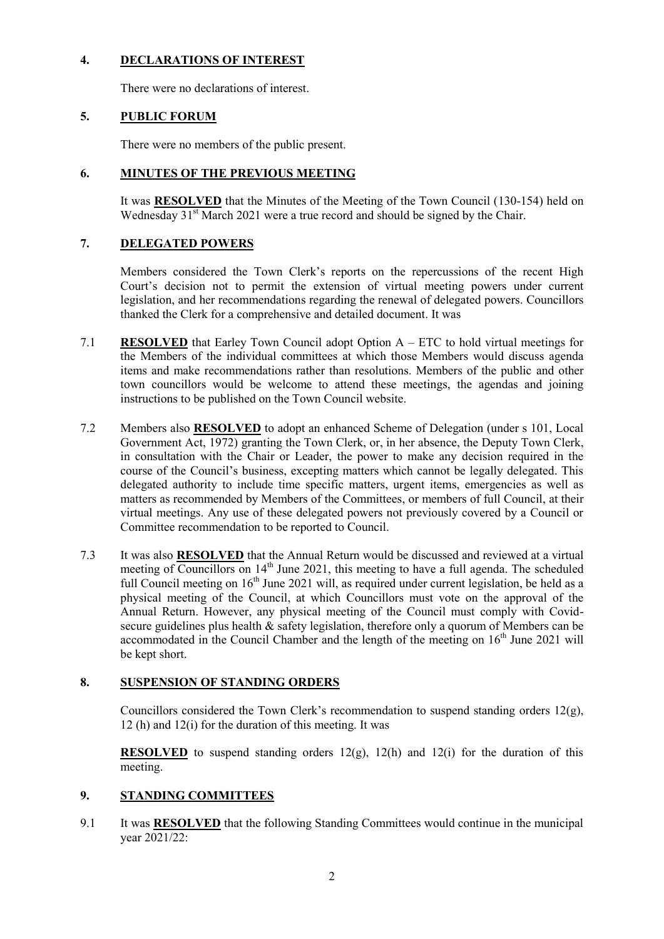## **4. DECLARATIONS OF INTEREST**

There were no declarations of interest.

## **5. PUBLIC FORUM**

There were no members of the public present.

#### **6. MINUTES OF THE PREVIOUS MEETING**

It was **RESOLVED** that the Minutes of the Meeting of the Town Council (130-154) held on Wednesday 31<sup>st</sup> March 2021 were a true record and should be signed by the Chair.

# **7. DELEGATED POWERS**

Members considered the Town Clerk's reports on the repercussions of the recent High Court's decision not to permit the extension of virtual meeting powers under current legislation, and her recommendations regarding the renewal of delegated powers. Councillors thanked the Clerk for a comprehensive and detailed document. It was

- 7.1 **RESOLVED** that Earley Town Council adopt Option A ETC to hold virtual meetings for the Members of the individual committees at which those Members would discuss agenda items and make recommendations rather than resolutions. Members of the public and other town councillors would be welcome to attend these meetings, the agendas and joining instructions to be published on the Town Council website.
- 7.2 Members also **RESOLVED** to adopt an enhanced Scheme of Delegation (under s 101, Local Government Act, 1972) granting the Town Clerk, or, in her absence, the Deputy Town Clerk, in consultation with the Chair or Leader, the power to make any decision required in the course of the Council's business, excepting matters which cannot be legally delegated. This delegated authority to include time specific matters, urgent items, emergencies as well as matters as recommended by Members of the Committees, or members of full Council, at their virtual meetings. Any use of these delegated powers not previously covered by a Council or Committee recommendation to be reported to Council.
- 7.3 It was also **RESOLVED** that the Annual Return would be discussed and reviewed at a virtual meeting of Councillors on  $14<sup>th</sup>$  June 2021, this meeting to have a full agenda. The scheduled full Council meeting on  $16<sup>th</sup>$  June 2021 will, as required under current legislation, be held as a physical meeting of the Council, at which Councillors must vote on the approval of the Annual Return. However, any physical meeting of the Council must comply with Covidsecure guidelines plus health  $\&$  safety legislation, therefore only a quorum of Members can be accommodated in the Council Chamber and the length of the meeting on  $16<sup>th</sup>$  June 2021 will be kept short.

# **8. SUSPENSION OF STANDING ORDERS**

Councillors considered the Town Clerk's recommendation to suspend standing orders  $12(g)$ , 12 (h) and 12(i) for the duration of this meeting. It was

**RESOLVED** to suspend standing orders 12(g), 12(h) and 12(i) for the duration of this meeting.

# **9. STANDING COMMITTEES**

9.1 It was **RESOLVED** that the following Standing Committees would continue in the municipal year 2021/22: